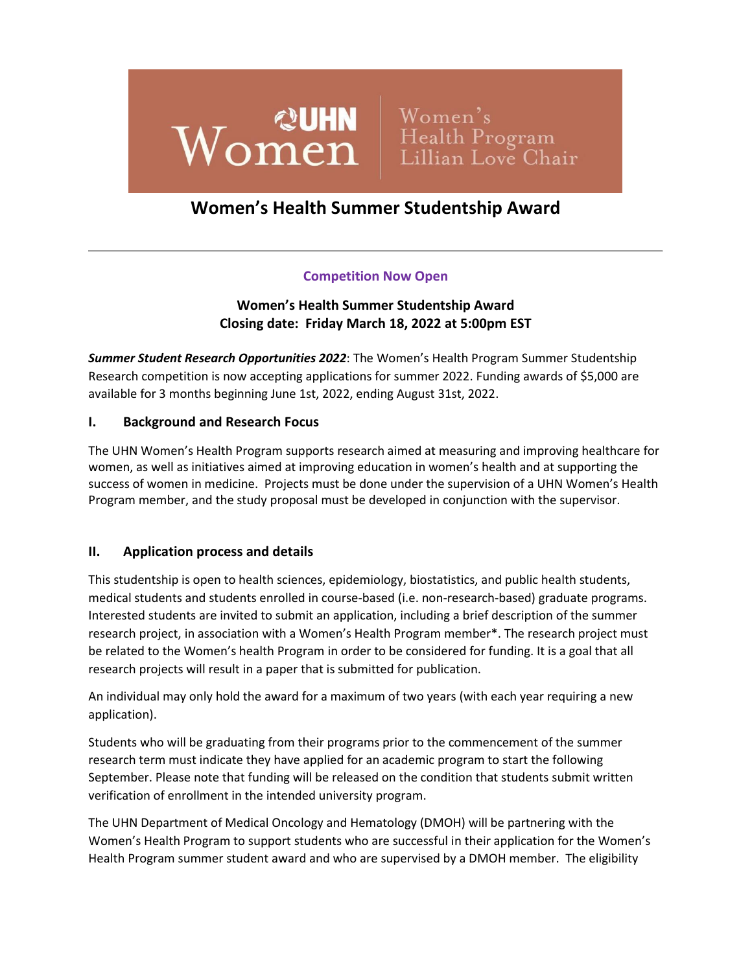

# **Women's Health Summer Studentship Award**

# **Competition Now Open**

# **Women's Health Summer Studentship Award Closing date: Friday March 18, 2022 at 5:00pm EST**

*Summer Student Research Opportunities 2022*: The Women's Health Program Summer Studentship Research competition is now accepting applications for summer 2022. Funding awards of \$5,000 are available for 3 months beginning June 1st, 2022, ending August 31st, 2022.

#### **I. Background and Research Focus**

The UHN Women's Health Program supports research aimed at measuring and improving healthcare for women, as well as initiatives aimed at improving education in women's health and at supporting the success of women in medicine. Projects must be done under the supervision of a UHN Women's Health Program member, and the study proposal must be developed in conjunction with the supervisor.

#### **II. Application process and details**

This studentship is open to health sciences, epidemiology, biostatistics, and public health students, medical students and students enrolled in course-based (i.e. non-research-based) graduate programs. Interested students are invited to submit an application, including a brief description of the summer research project, in association with a Women's Health Program member\*. The research project must be related to the Women's health Program in order to be considered for funding. It is a goal that all research projects will result in a paper that is submitted for publication.

An individual may only hold the award for a maximum of two years (with each year requiring a new application).

Students who will be graduating from their programs prior to the commencement of the summer research term must indicate they have applied for an academic program to start the following September. Please note that funding will be released on the condition that students submit written verification of enrollment in the intended university program.

The UHN Department of Medical Oncology and Hematology (DMOH) will be partnering with the Women's Health Program to support students who are successful in their application for the Women's Health Program summer student award and who are supervised by a DMOH member. The eligibility